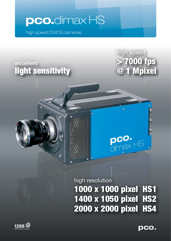# **pco.**dimax HS

high speed CMOS cameras

 $\ddot{\mathbf{0}}$ 

## excellent light sensitivity

high speed > 7000 fps @ 1 Mpixel

high resolution

1000 x 1000 pixel HS1 1400 x 1050 pixel HS2 2000 x 2000 pixel HS4

 $\frac{\text{pco.}}{\text{dim}\mathbb{A}^{\times}}$ HS



**pco.**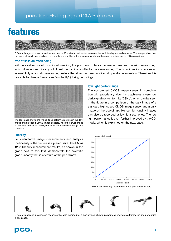# features



Different images of a high speed sequence of a 3D material test, which was recorded with two high speed cameras. The images show how the material was lenghtened and torn into two parts. The pattern was sprayed onto the sample to improve the 3D calculations.

### **free of session referencing**

With innovative use of on chip information, the pco.dimax offers an operation free from session referencing, which does not require any additional mechanical shutter for dark referencing. The pco.dimax incorporates an internal fully automatic referencing feature that does not need additional operator intervention. Therefore it is possible to change frame rates "on the fly" (during recording).



The top image shows the typical fixed pattern structures in the dark image of high speed CMOS image sensors, while the lower image shows less and more homogeneous noise in the dark image of a pco.dimax.

#### **linearity**

For quantitative image measurements and analysis the linearity of the camera is a prerequisite. The EMVA 1288 linearity measurement results, as shown in the graph next to this text, demonstrate the scientific grade linearity that is a feature of the pco.dimax.

### **low light performance**

The customized CMOS image sensor in combination with proprietary algorithms achieves a very low dark signal non-uniformity (DSNU), which can be seen in the figure in a comparison of the dark image of a standard high speed CMOS image sensor and a dark image of the pco.dimax. Hence high quality images can also be recorded at low light sceneries. The low light performance is even further improved by the CDI mode, which is explained on the next page.



EMVA 1288 linearity measurement of a pco.dimax camera.



Different images of a highspeed sequence that was recorded for a music video, showing a woman jumping on a trampoline and performing a back salto.

## **pco.** <sup>2</sup>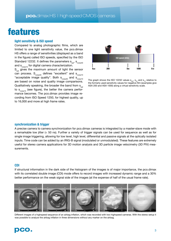## features

#### **light sensitivity & ISO speed**

Compared to analog photographic films, which are limited to one light sensitivity value, the pco.dimax HS offers a range of sensitivities (displayed as a band in the figure) called ISO speeds, specified by the ISO Standard 12232. It defines the parameters  $s_{sat}$ ,  $s_{noise40}$ and  $s_{\text{noise10}}$  for digital camera characterization.  $S_{\text{sat}}$  gives the maximum amount of light the sensor can process.  $S_{noise40}$  defines "excellent" and  $S_{noise10}$ "acceptable image quality". Both  $s_{\text{noise40}}$  and  $s_{\text{noise10}}$ are based on noise and quality image comparisons. Qualitatively speaking, the broader the band from  $s_{\text{est}}$ to  $s_{noise10}$  (see figure), the better the camera performance becomes. The pco.dimax provides image recording from ISO Speed 1250, for highest quality, up to 16,000 and more at high frame rates.



The graph shows the ISO 12232 values  $s_{est}$ ,  $s_{40}$  and  $s_{10}$  relative to the formerly used sensitivity values for negative film (examples give ASA 200 and ASA 1000) along a virtual sensitivity scale.

#### **synchronization & trigger**

A precise camera to camera synchronization for pco.dimax cameras is integrated by a master-slave mode with a remarkable low jitter (< 50 ns). Further a variety of trigger signals can be used for sequence as well as for single image triggering, allowing for low level, high level, differential and passive signals at the optically isolated inputs. Time code can be added by an IRIG-B signal (modulated or unmodulated). These features are extremely useful for stereo camera applications for 3D motion analysis and 3D particle image velocimetry (3D PIV) measurements.

### **CDI**

If structural information in the dark side of the histogram of the images is of major importance, the pco.dimax with its correlated double image (CDI) mode offers to record images with increased dynamic range and a 30% better performance on the weak signal side of the images (at the expense of half of the usual frame rate).



Different images of a highspeed sequence of an airbag inflation, which was recorded with two highspeed cameras. With the stereo setup it was possible to analyze the airbag inflation in three dimensions without any marker on the airbag.

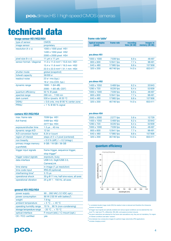# technical data

## **image sensor HS1/HS2/HS4 frame rate table<sup>3</sup>**

| type of sensor              | <b>CMOS</b>                                      |  |
|-----------------------------|--------------------------------------------------|--|
| image sensor                | proprietary                                      |  |
| resolution ( $h \times v$ ) | 1000 x 1000 pixel HS1                            |  |
|                             | 1400 x 1050 pixel HS2                            |  |
|                             | 2000 x 2000 pixel HS4                            |  |
| pixel size (h x v)          | 11 $\mu$ m x 11 $\mu$ m                          |  |
| sensor format / diagonal    | $11.0 \times 11.0$ mm <sup>2</sup> / 15.6 mm HS1 |  |
|                             | 15.4 x 11.6 mm <sup>2</sup> / 19.3 mm HS2        |  |
|                             | 22.0 x 22.0 mm <sup>2</sup> / 31.1 mm HS4        |  |
| shutter mode                | global (snapshot)                                |  |
| fullwell capacity           | 36000 e-                                         |  |
| readout noise               | $23$ e <sup>-</sup> rms (typ.)                   |  |
|                             | 18 $e$ -rms (CDI, typ.)                          |  |
| dynamic range               | 1600:1(64 dB)                                    |  |
|                             | 2000:1(65 dB, CDI <sup>1</sup> )                 |  |
| quantum efficiency          | 50 % @ peak                                      |  |
| spectral range              | 290 nm  1100 nm                                  |  |
| dark current                | 530 e-/pixel/s @ 20 °C                           |  |
| <b>DSNU</b>                 | < 0.6 cnts. rms @ 90 % center zone               |  |
| <b>PRNU</b>                 | $15.4 \times 100$ 80 % signal                    |  |
|                             |                                                  |  |

#### **camera HS1/HS2/HS4**

| max. frame rate                | 7039 fps HS1                           |
|--------------------------------|----------------------------------------|
| (full frame)                   | 5469 fps HS2                           |
|                                | 2277 fps HS4                           |
| exposure/shutter time          | $1.5 \,\mu s$ 40 ms                    |
| dynamic range A/D              | 12 bit                                 |
| A/D conversion factor          | 8.34 e-/count                          |
| region of interest             | steps of 2 x 2 pixel (centered)        |
| non linearity                  | $< 0.5 %$ (diff.) / $< 0.2$ (integr.)  |
| primary image memory           | 9 GB / 18 GB / 36 GB                   |
| (camRAM)                       |                                        |
| trigger input signals          | frame trigger, sequence trigger,       |
|                                | stop trigger <sup>2</sup>              |
| trigger output signals         | exposure, busy                         |
| data interface                 | USB 3.0, GigE/USB 2.0,                 |
|                                | CameraLink                             |
| time stamp                     | in image (1 µs resolution)             |
| time code input                | <b>IRIG-B (optional)</b>               |
| interframing time <sup>4</sup> | $3.15 \,\mu s$                         |
| operational shock              | 30 g @ 11 ms, half sine wave, all axes |
| operational vibration          | 25 g @ 1 - 150 Hz, all axes            |
|                                |                                        |

#### **general HS1/HS2/HS4**

| power supply              | 90260 VAC (12 VDC opt.)                 |
|---------------------------|-----------------------------------------|
| power consumption         | 90 W (130 W with battery <sup>5</sup> ) |
| weight                    | 7.9 kg                                  |
| ambient temperature       | $+5$ °C $+40$ °C                        |
| operating humidity range  | 10 %  90 % (non-condensing)             |
| storage temperature range | $-20 °C + 70 °C$                        |
| optical interface         | F-mount (std.) / C-mount (opt.)         |
| CE / FCC certified        | <b>ves</b>                              |
|                           |                                         |

| typical examples<br>[pixel] | frame rate | recordina<br>time $(36 GB)$ | images in<br>memory (36 GB) |
|-----------------------------|------------|-----------------------------|-----------------------------|
| <b>pco.dimax HS1</b>        |            |                             |                             |

| 1000 x 1000      | 7039 fps  | 6.9 s  | 48497  |
|------------------|-----------|--------|--------|
| $800 \times 600$ | 12841 fps | 7.7 s  | 98491  |
| 640 x 480        | 17985 fps | 8.8 s  | 157958 |
| $320 \times 200$ | 46746 fps | 14.0 s | 653411 |
|                  |           |        |        |

| pco.dimax HS2    |           |        |        |
|------------------|-----------|--------|--------|
| 1400 x 1050      | 5469 fps  | 6.2s   | 33943  |
| 1280 x 720       | 8226 fps  | 6.4 s  | 52839  |
| 1000 x 1000      | 7039 fps  | 6.9 s  | 48497  |
| 800 x 600        | 12841 fps | 7.7 s  | 98491  |
| 640 x 480        | 17985 fps | 8.8 s  | 157958 |
| $320 \times 200$ | 46746 fps | 14.0 s | 653411 |

#### **pco.dimax HS4**

| 2000 x 2000 | 2277 fps  | 5.6s   | 12729  |
|-------------|-----------|--------|--------|
| 1400 x 1050 | 5469 fps  | 6.2s   | 33943  |
| 1280 x 720  | 8226 fps  | 6.4 s  | 52839  |
| 1000 x 1000 | 7039 fps  | 6.9 s  | 48497  |
| 800 x 600   | 12841 fps | 7.7 s  | 98491  |
| 640 x 480   | 17985 fps | 8.8 s  | 157958 |
| 320 x 200   | 46746 fps | 14.0 s | 653411 |
|             |           |        |        |



 $1$  in correlated double image mode (CDI) the readout noise is reduced and therefore the intrascene dynamic is improved. 2 all trigger input signals are optically isolated and various signal conditions can be selected like: low

level TTL, high level TTL, differential (RS-485) and passive (contact closure).

<sup>3</sup>the given resolutions are selected for the frame rate calculations only, they are not mandatory. For region of interest conditions see table "camera".

<sup>4</sup>time between two consecutive images for particle image velocimetry (PIV) applications time between two collections<br>5 includes charging current

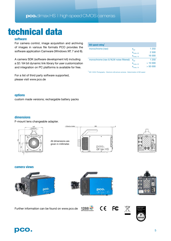# technical data

## **software**

For camera control, image acquisition and archiving of images in various file formats PCO provides the software application Camware (Windows XP, 7 and 8).

A camera SDK (software development kit) including a 32 / 64 bit dynamic link library for user customization and integration on PC platforms is available for free.

For a list of third party software supported, please visit www.pco.de

| <b>ISO</b> speed rating <sup>1</sup>  |                        |         |
|---------------------------------------|------------------------|---------|
| monochrome (raw)                      | $S_{\rm sat}$          | 1 2 5 0 |
|                                       | $S_{noise, 40}$        | 2 500   |
|                                       | $S_{\text{noise}, 10}$ | 16 000  |
| monochrome (raw & NLM noise filtered) | $S_{sat}$              | 1 2 5 0 |
|                                       | $S_{\text{noise}, 40}$ | >10000  |
|                                       | s<br>noise, 10         | > 50000 |

<sup>1</sup> ISO 12232: Photography - Electronic still-picture cameras - Determination of ISO speed

### **options**

custom made versions; rechargable battery packs

### **dimensions**

F-mount lens changeable adapter.



All dimensions are given in millimeter.





**camera views**







Further information can be found on www.pco.de



 $C \in$ **FC** 



 $\boxtimes$